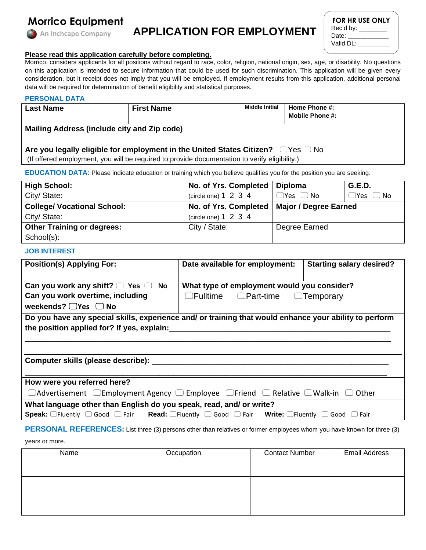

# **APPLICATION FOR EMPLOYMENT**

| <b>FOR HR USE ONLY</b> |  |
|------------------------|--|
| Rec'd by:              |  |
| Date:                  |  |
| Valid DL:              |  |

### **Please read this application carefully before completing.**

Morrico. considers applicants for all positions without regard to race, color, religion, national origin, sex, age, or disability. No questions on this application is intended to secure information that could be used for such discrimination. This application will be given every consideration, but it receipt does not imply that you will be employed. If employment results from this application, additional personal data will be required for determination of benefit eligibility and statistical purposes.

#### **PERSONAL DATA**

| <b>Last Name</b>                                                                              | <b>First Name</b> | <b>Middle Initial</b> | Home Phone #:<br><b>Mobile Phone #:</b> |  |
|-----------------------------------------------------------------------------------------------|-------------------|-----------------------|-----------------------------------------|--|
|                                                                                               |                   |                       |                                         |  |
| Mailing Address (include city and Zip code)                                                   |                   |                       |                                         |  |
|                                                                                               |                   |                       |                                         |  |
|                                                                                               |                   |                       |                                         |  |
| Are you legally eligible for employment in the United States Citizen? $\Box$ Yes $\Box$ No    |                   |                       |                                         |  |
| (If offered employment, you will be required to provide documentation to verify eligibility.) |                   |                       |                                         |  |

**EDUCATION DATA:** Please indicate education or training which you believe qualifies you for the position you are seeking.

| <b>High School:</b>                | No. of Yrs. Completed     | <b>Diploma</b>                                | <b>G.E.D.</b>        |
|------------------------------------|---------------------------|-----------------------------------------------|----------------------|
| City/ State:                       | (circle one) $1\ 2\ 3\ 4$ | $\Box$ Yes $\Box$ No                          | $\Box$ Yes $\Box$ No |
| <b>College/ Vocational School:</b> |                           | No. of Yrs. Completed   Major / Degree Earned |                      |
| City/ State:                       | (circle one) $1\ 2\ 3\ 4$ |                                               |                      |
| <b>Other Training or degrees:</b>  | City / State:             | Degree Earned                                 |                      |
| School(s):                         |                           |                                               |                      |

#### **JOB INTEREST**

| <b>Position(s) Applying For:</b>                                                                                                                                                       | Date available for employment:                                                                   | <b>Starting salary desired?</b> |  |
|----------------------------------------------------------------------------------------------------------------------------------------------------------------------------------------|--------------------------------------------------------------------------------------------------|---------------------------------|--|
| Can you work any shift? $\Box$ Yes $\Box$ No<br>Can you work overtime, including                                                                                                       | What type of employment would you consider?<br>$\Box$ Fulltime $\Box$ Part-time $\Box$ Temporary |                                 |  |
| weekends? $\Box$ Yes $\Box$ No<br>Do you have any special skills, experience and/ or training that would enhance your ability to perform<br>the position applied for? If yes, explain: |                                                                                                  |                                 |  |
| Computer skills (please describe): ___                                                                                                                                                 |                                                                                                  |                                 |  |
|                                                                                                                                                                                        |                                                                                                  |                                 |  |
| How were you referred here?                                                                                                                                                            |                                                                                                  |                                 |  |
| $\Box$ Advertisement $\Box$ Employment Agency $\Box$ Employee $\Box$ Friend $\Box$ Relative $\Box$ Walk-in $\Box$                                                                      |                                                                                                  | Other                           |  |
| What language other than English do you speak, read, and/ or write?                                                                                                                    |                                                                                                  |                                 |  |
| <b>Speak:</b> $\Box$ Fluently $\Box$ Good $\Box$ Fair <b>Read:</b> $\Box$ Fluently $\Box$ Good $\Box$ Fair <b>Write:</b> $\Box$ Fluently $\Box$ Good $\Box$ Fair                       |                                                                                                  |                                 |  |

# **PERSONAL REFERENCES:** List three (3) persons other than relatives or former employees whom you have known for three (3)

years or more.

| Name | Occupation | <b>Contact Number</b> | <b>Email Address</b> |  |
|------|------------|-----------------------|----------------------|--|
|      |            |                       |                      |  |
|      |            |                       |                      |  |
|      |            |                       |                      |  |
|      |            |                       |                      |  |
|      |            |                       |                      |  |
|      |            |                       |                      |  |